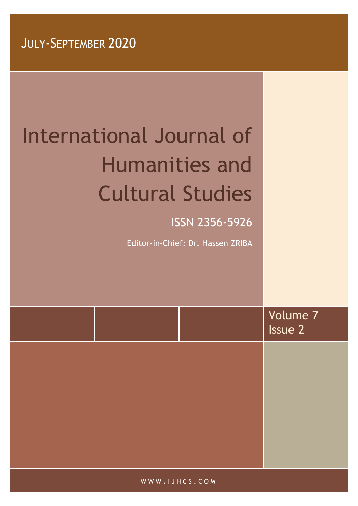# International Journal of Humanities and Cultural Studies

ISSN 2356-5926

Editor-in-Chief: Dr. Hassen ZRIBA

|               | Volume 7<br>Issue 2 |
|---------------|---------------------|
|               |                     |
|               |                     |
|               |                     |
|               |                     |
| $\mathcal{L}$ |                     |

WWW . I J H C S . C O M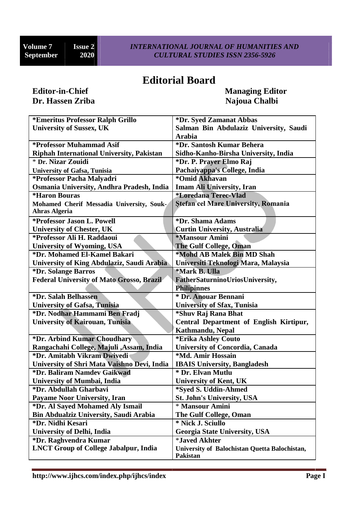## **Editorial Board**

# **Dr. Hassen Zriba Najoua Chalbi**

**Editor-in-Chief Managing Editor**

| <i><b>*Emeritus Professor Ralph Grillo</b></i>   | *Dr. Syed Zamanat Abbas                       |  |
|--------------------------------------------------|-----------------------------------------------|--|
| <b>University of Sussex, UK</b>                  | Salman Bin Abdulaziz University, Saudi        |  |
|                                                  | <b>Arabia</b>                                 |  |
| *Professor Muhammad Asif                         | *Dr. Santosh Kumar Behera                     |  |
| <b>Riphah International University, Pakistan</b> | Sidho-Kanho-Birsha University, India          |  |
| * Dr. Nizar Zouidi                               | *Dr. P. Prayer Elmo Raj                       |  |
| <b>University of Gafsa, Tunisia</b>              | Pachaiyappa's College, India                  |  |
| *Professor Pacha Malyadri                        | *Omid Akhavan                                 |  |
| Osmania University, Andhra Pradesh, India        | <b>Imam Ali University, Iran</b>              |  |
| <i><b>*Haron Bouras</b></i>                      | <i><b>*Loredana Terec-Vlad</b></i>            |  |
| Mohamed Cherif Messadia University, Souk-        | <b>Stefan cel Mare University, Romania</b>    |  |
| <b>Ahras Algeria</b>                             |                                               |  |
| *Professor Jason L. Powell                       | *Dr. Shama Adams                              |  |
| <b>University of Chester, UK</b>                 | <b>Curtin University, Australia</b>           |  |
| *Professor Ali H. Raddaoui                       | <i><b>*Mansour Amini</b></i>                  |  |
| <b>University of Wyoming, USA</b>                | <b>The Gulf College, Oman</b>                 |  |
| *Dr. Mohamed El-Kamel Bakari                     | *Mohd AB Malek Bin MD Shah                    |  |
| University of King Abdulaziz, Saudi Arabia       | Universiti Teknologi Mara, Malaysia           |  |
| *Dr. Solange Barros                              | *Mark B. Ulla                                 |  |
| <b>Federal University of Mato Grosso, Brazil</b> | FatherSaturninoUriosUniversity,               |  |
|                                                  | <b>Philipinnes</b>                            |  |
| *Dr. Salah Belhassen                             | * Dr. Anouar Bennani                          |  |
| <b>University of Gafsa, Tunisia</b>              | <b>University of Sfax, Tunisia</b>            |  |
| *Dr. Nodhar Hammami Ben Fradj                    | *Shuv Raj Rana Bhat                           |  |
| <b>University of Kairouan, Tunisia</b>           | Central Department of English Kirtipur,       |  |
|                                                  | Kathmandu, Nepal                              |  |
| *Dr. Arbind Kumar Choudhary                      | *Erika Ashley Couto                           |  |
| Rangachahi College, Majuli , Assam, India        | <b>University of Concordia, Canada</b>        |  |
| *Dr. Amitabh Vikram Dwivedi                      | *Md. Amir Hossain                             |  |
| University of Shri Mata Vaishno Devi, India      | <b>IBAIS University, Bangladesh</b>           |  |
| *Dr. Baliram Namdev Gaikwad                      | * Dr. Elvan Mutlu                             |  |
| <b>University of Mumbai, India</b>               | <b>University of Kent, UK</b>                 |  |
| *Dr. Abdullah Gharbavi                           | *Syed S. Uddin-Ahmed                          |  |
| <b>Payame Noor University, Iran</b>              | <b>St. John's University, USA</b>             |  |
| *Dr. Al Sayed Mohamed Aly Ismail                 | * Mansour Amini                               |  |
| <b>Bin Abdualziz University, Saudi Arabia</b>    | The Gulf College, Oman                        |  |
| *Dr. Nidhi Kesari                                | * Nick J. Sciullo                             |  |
| <b>University of Delhi, India</b>                | <b>Georgia State University, USA</b>          |  |
| *Dr. Raghvendra Kumar                            | <i><b>*Javed Akhter</b></i>                   |  |
| <b>LNCT Group of College Jabalpur, India</b>     | University of Balochistan Quetta Balochistan, |  |
|                                                  | <b>Pakistan</b>                               |  |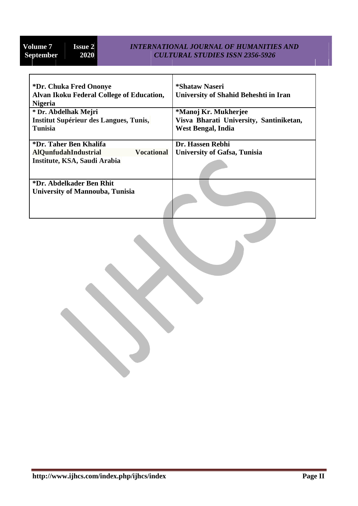#### **Volume 7 ISSUE 2 INTERNATIONAL JOURNAL OF HUMANITIES AND**<br>**CULTURAL STUDIES ISSN 2356-5926 September 2020** *CULTURAL STUDIES ISSN 2356-5926*

| *Dr. Chuka Fred Ononye                           | *Shataw Naseri                          |  |
|--------------------------------------------------|-----------------------------------------|--|
| Alvan Ikoku Federal College of Education,        | University of Shahid Beheshti in Iran   |  |
| <b>Nigeria</b>                                   |                                         |  |
| * Dr. Abdelhak Mejri                             | *Manoj Kr. Mukherjee                    |  |
| Institut Supérieur des Langues, Tunis,           | Visva Bharati University, Santiniketan, |  |
| <b>Tunisia</b>                                   | West Bengal, India                      |  |
|                                                  |                                         |  |
| *Dr. Taher Ben Khalifa                           | Dr. Hassen Rebhi                        |  |
| <b>Vocational</b><br><b>AlQunfudahIndustrial</b> | <b>University of Gafsa, Tunisia</b>     |  |
| Institute, KSA, Saudi Arabia                     |                                         |  |
|                                                  |                                         |  |
|                                                  |                                         |  |
| *Dr. Abdelkader Ben Rhit                         |                                         |  |
| <b>University of Mannouba, Tunisia</b>           |                                         |  |
|                                                  |                                         |  |
|                                                  |                                         |  |
|                                                  |                                         |  |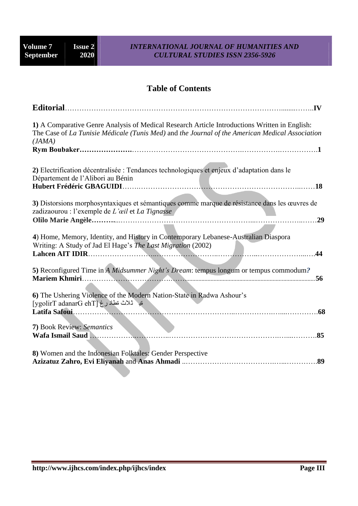#### **Volume 7 ISSUE 2 INTERNATIONAL JOURNAL OF HUMANITIES AND**<br>**CULTURAL STUDIES ISSN 2356-5926 September 2020** *CULTURAL STUDIES ISSN 2356-5926*

#### **Table of Contents**

| <b>Editorial.</b>                                                                                                                                                                                          |
|------------------------------------------------------------------------------------------------------------------------------------------------------------------------------------------------------------|
| 1) A Comparative Genre Analysis of Medical Research Article Introductions Written in English:<br>The Case of La Tunisie Médicale (Tunis Med) and the Journal of the American Medical Association<br>(JAMA) |
|                                                                                                                                                                                                            |
| 2) Electrification décentralisée : Tendances technologiques et enjeux d'adaptation dans le<br>Département de l'Alibori au Bénin                                                                            |
|                                                                                                                                                                                                            |
| 3) Distorsions morphosyntaxiques et sémantiques comme marque de résistance dans les œuvres de<br>zadizaourou : l'exemple de L'œil et La Tignasse                                                           |
| 29                                                                                                                                                                                                         |
| 4) Home, Memory, Identity, and History in Contemporary Lebanese-Australian Diaspora<br>Writing: A Study of Jad El Hage's The Last Migration (2002)                                                         |
|                                                                                                                                                                                                            |
| 5) Reconfigured Time in A Midsummer Night's Dream: tempus longum or tempus commodum?                                                                                                                       |
| 6) The Ushering Violence of the Modern Nation-State in Radwa Ashour's<br>قيد ثلاث نطاد رغ [ygolirT adanarG ehT]<br>.68                                                                                     |
|                                                                                                                                                                                                            |
| 7) Book Review: Semantics<br>.85                                                                                                                                                                           |
|                                                                                                                                                                                                            |
| 8) Women and the Indonesian Folktales: Gender Perspective                                                                                                                                                  |